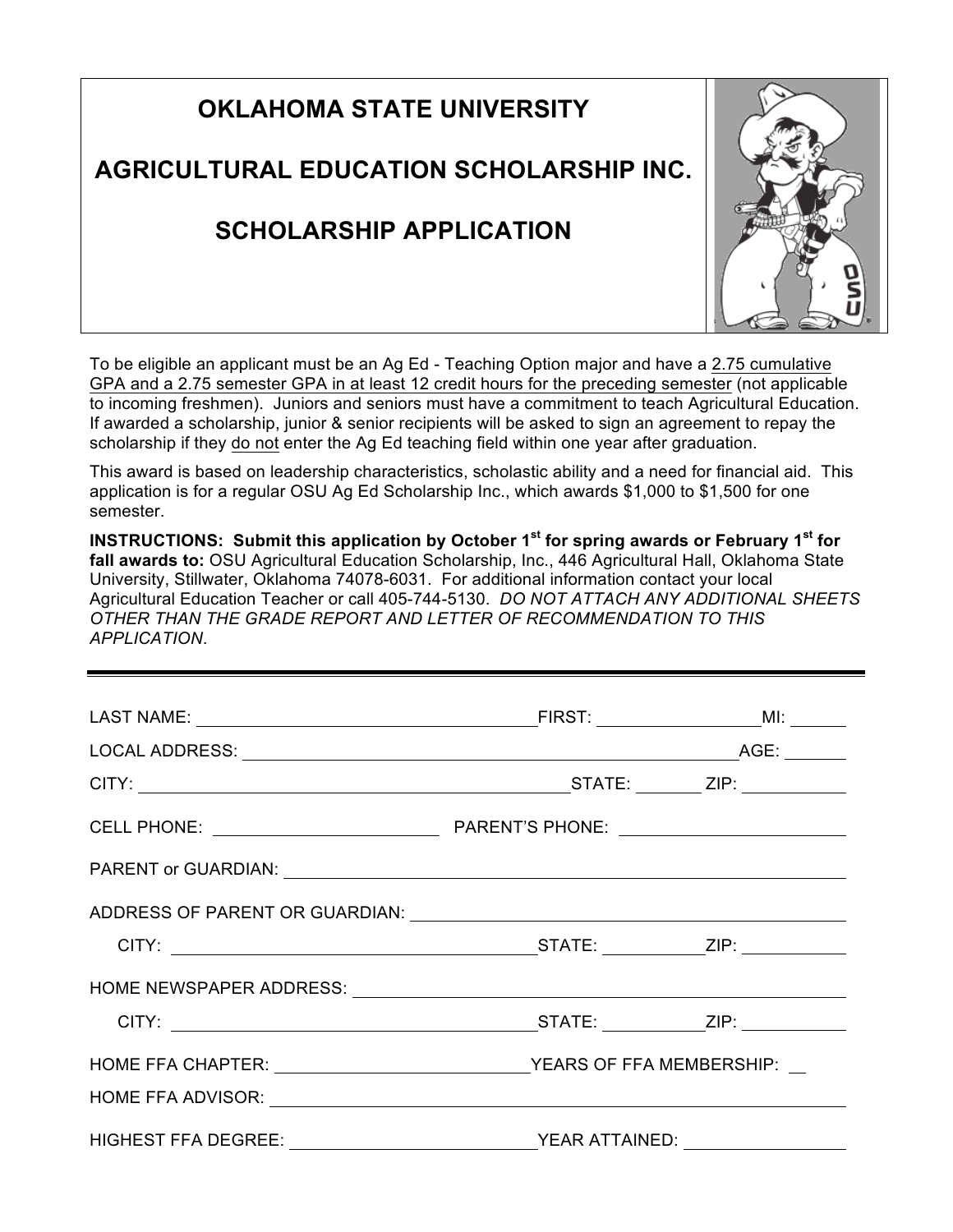| <b>OKLAHOMA STATE UNIVERSITY</b>        |  |
|-----------------------------------------|--|
| AGRICULTURAL EDUCATION SCHOLARSHIP INC. |  |
| <b>SCHOLARSHIP APPLICATION</b>          |  |

To be eligible an applicant must be an Ag Ed - Teaching Option major and have a 2.75 cumulative GPA and a 2.75 semester GPA in at least 12 credit hours for the preceding semester (not applicable to incoming freshmen). Juniors and seniors must have a commitment to teach Agricultural Education. If awarded a scholarship, junior & senior recipients will be asked to sign an agreement to repay the scholarship if they do not enter the Ag Ed teaching field within one year after graduation.

This award is based on leadership characteristics, scholastic ability and a need for financial aid. This application is for a regular OSU Ag Ed Scholarship Inc., which awards \$1,000 to \$1,500 for one semester.

**INSTRUCTIONS: Submit this application by October 1st for spring awards or February 1st for fall awards to:** OSU Agricultural Education Scholarship, Inc., 446 Agricultural Hall, Oklahoma State University, Stillwater, Oklahoma 74078-6031. For additional information contact your local Agricultural Education Teacher or call 405-744-5130. *DO NOT ATTACH ANY ADDITIONAL SHEETS OTHER THAN THE GRADE REPORT AND LETTER OF RECOMMENDATION TO THIS APPLICATION*.

| <b>HIGHEST FFA DEGREE:</b> | YEAR ATTAINED: |  |
|----------------------------|----------------|--|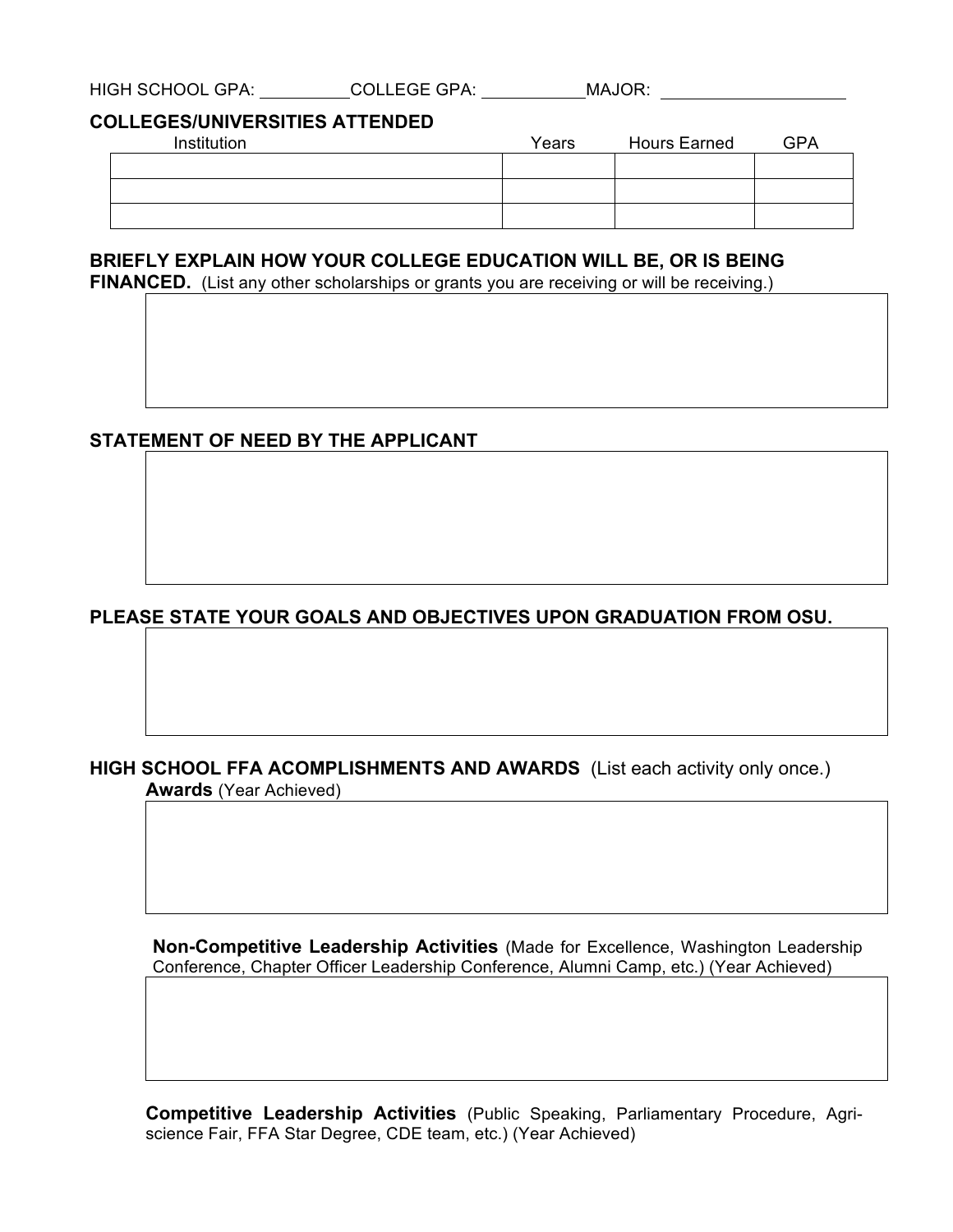| <b>HIGH SCHOOL GPA:</b><br><b>COLLEGE GPA:</b><br>MAJOR: |  |
|----------------------------------------------------------|--|
|----------------------------------------------------------|--|

### **COLLEGES/UNIVERSITIES ATTENDED**

| Institution | Years | <b>Hours Earned</b> | <b>GPA</b> |
|-------------|-------|---------------------|------------|
|             |       |                     |            |
|             |       |                     |            |
|             |       |                     |            |

## **BRIEFLY EXPLAIN HOW YOUR COLLEGE EDUCATION WILL BE, OR IS BEING**

FINANCED. (List any other scholarships or grants you are receiving or will be receiving.)

### **STATEMENT OF NEED BY THE APPLICANT**

# **PLEASE STATE YOUR GOALS AND OBJECTIVES UPON GRADUATION FROM OSU.**

### **HIGH SCHOOL FFA ACOMPLISHMENTS AND AWARDS** (List each activity only once.)

**Awards** (Year Achieved)

**Non-Competitive Leadership Activities** (Made for Excellence, Washington Leadership Conference, Chapter Officer Leadership Conference, Alumni Camp, etc.) (Year Achieved)

**Competitive Leadership Activities** (Public Speaking, Parliamentary Procedure, Agriscience Fair, FFA Star Degree, CDE team, etc.) (Year Achieved)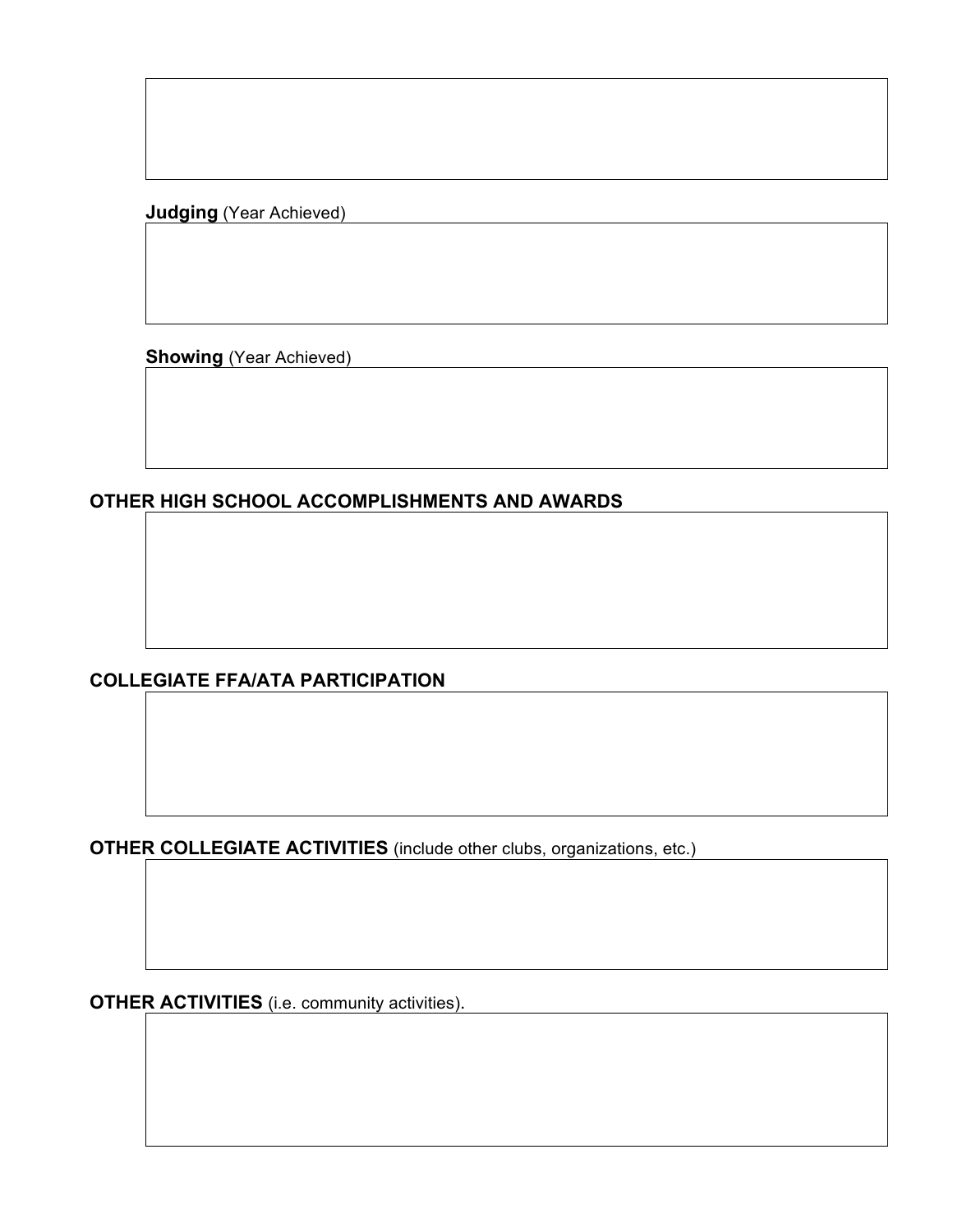**Judging** (Year Achieved)

**Showing** (Year Achieved)

**OTHER HIGH SCHOOL ACCOMPLISHMENTS AND AWARDS**

# **COLLEGIATE FFA/ATA PARTICIPATION**

**OTHER COLLEGIATE ACTIVITIES** (include other clubs, organizations, etc.)

**OTHER ACTIVITIES** (i.e. community activities).